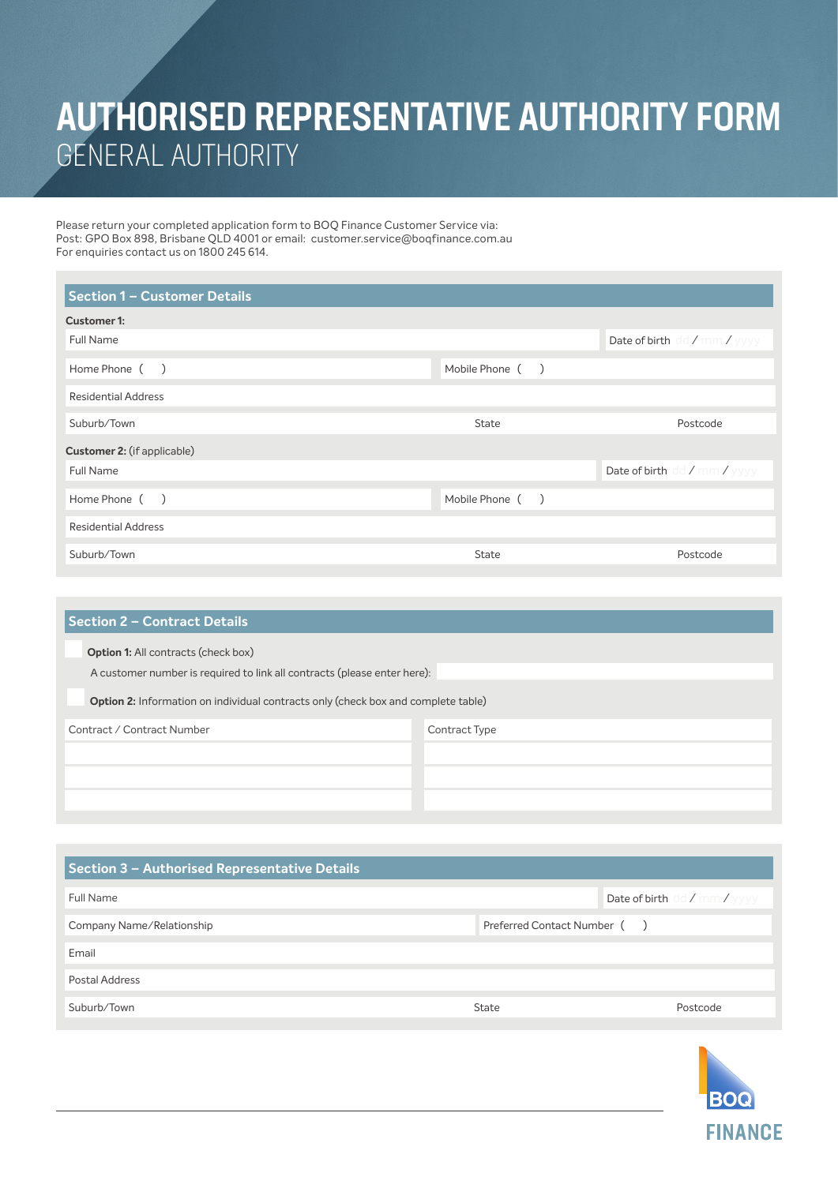## AUTHORISED REPRESENTATIVE AUTHORITY FORM GENERAL AUTHORITY

Please return your completed application form to BOQ Finance Customer Service via: Post: GPO Box 898, Brisbane QLD 4001 or email: customer.service@boqfinance.com.au For enquiries contact us on 1800 245 614.

| Section 1 - Customer Details |                 |                              |
|------------------------------|-----------------|------------------------------|
| Customer 1:                  |                 |                              |
| Full Name                    |                 | Date of birth dd / mm / yyyy |
| Home Phone ()                | Mobile Phone () |                              |
| <b>Residential Address</b>   |                 |                              |
| Suburb/Town                  | <b>State</b>    | Postcode                     |
| Customer 2: (if applicable)  |                 |                              |
| Full Name                    |                 | Date of birth dd / mm / yyyy |
| Home Phone ()                | Mobile Phone () |                              |
| <b>Residential Address</b>   |                 |                              |
| Suburb/Town                  | <b>State</b>    | Postcode                     |

| <b>Section 2 - Contract Details</b>                                                      |               |
|------------------------------------------------------------------------------------------|---------------|
| <b>Option 1:</b> All contracts (check box)                                               |               |
| A customer number is required to link all contracts (please enter here):                 |               |
| <b>Option 2:</b> Information on individual contracts only (check box and complete table) |               |
| Contract / Contract Number                                                               | Contract Type |
|                                                                                          |               |
|                                                                                          |               |
|                                                                                          |               |

| Section 3 - Authorised Representative Details |                             |                                            |
|-----------------------------------------------|-----------------------------|--------------------------------------------|
| Full Name                                     |                             | Date of birth $dd / \text{mm} / \text{yy}$ |
| Company Name/Relationship                     | Preferred Contact Number () |                                            |
| Email                                         |                             |                                            |
| Postal Address                                |                             |                                            |
| Suburb/Town                                   | State                       | Postcode                                   |

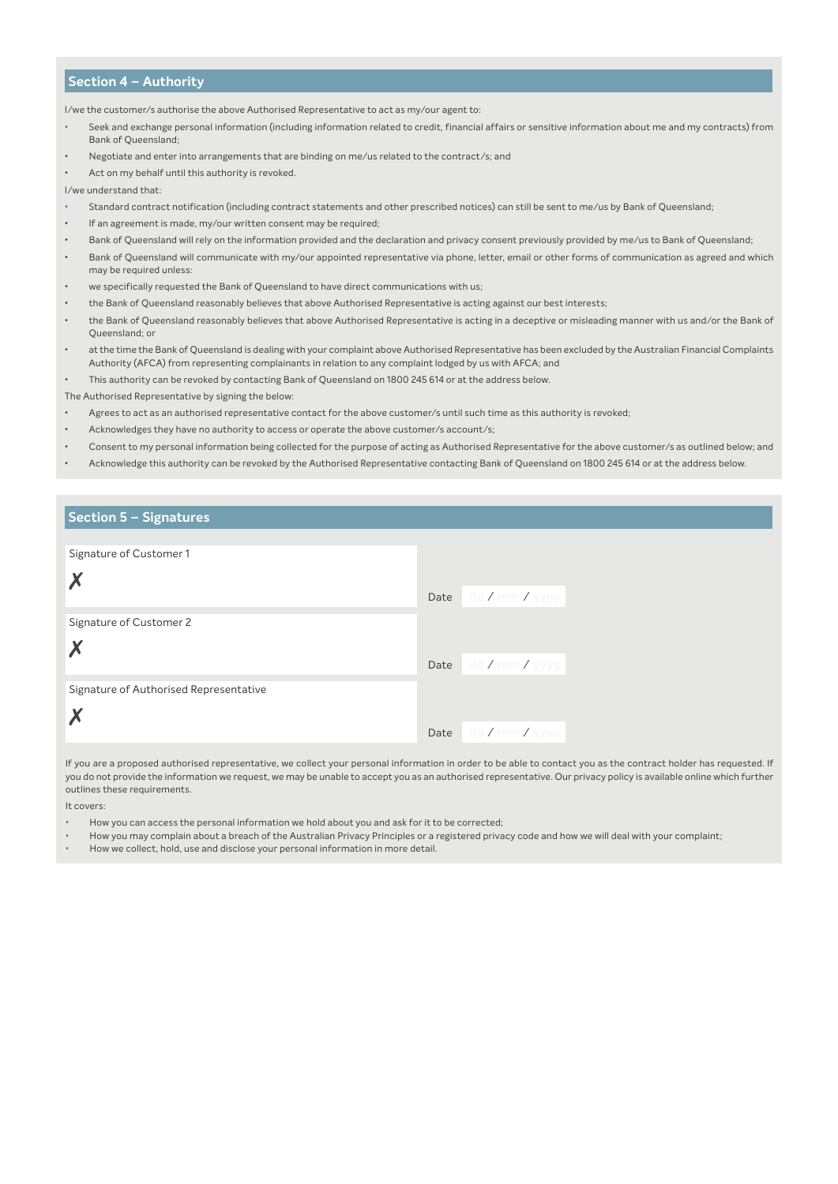## **Section 4 – Authority**

I/we the customer/s authorise the above Authorised Representative to act as my/our agent to:

- Seek and exchange personal information (including information related to credit, financial affairs or sensitive information about me and my contracts) from Bank of Queensland;
- Negotiate and enter into arrangements that are binding on me/us related to the contract/s; and
- Act on my behalf until this authority is revoked.
- I/we understand that:
- Standard contract notification (including contract statements and other prescribed notices) can still be sent to me/us by Bank of Queensland;
- If an agreement is made, my/our written consent may be required;
- Bank of Queensland will rely on the information provided and the declaration and privacy consent previously provided by me/us to Bank of Queensland;
- Bank of Queensland will communicate with my/our appointed representative via phone, letter, email or other forms of communication as agreed and which may be required unless:
- we specifically requested the Bank of Queensland to have direct communications with us;
- the Bank of Queensland reasonably believes that above Authorised Representative is acting against our best interests;
- the Bank of Queensland reasonably believes that above Authorised Representative is acting in a deceptive or misleading manner with us and/or the Bank of Queensland; or
- at the time the Bank of Queensland is dealing with your complaint above Authorised Representative has been excluded by the Australian Financial Complaints Authority (AFCA) from representing complainants in relation to any complaint lodged by us with AFCA; and
- This authority can be revoked by contacting Bank of Queensland on 1800 245 614 or at the address below.
- The Authorised Representative by signing the below:
- Agrees to act as an authorised representative contact for the above customer/s until such time as this authority is revoked;
- Acknowledges they have no authority to access or operate the above customer/s account/s;
- Consent to my personal information being collected for the purpose of acting as Authorised Representative for the above customer/s as outlined below; and
- Acknowledge this authority can be revoked by the Authorised Representative contacting Bank of Queensland on 1800 245 614 or at the address below.

## **Section 5 – Signatures**

| Signature of Customer 1                |      |                                                 |
|----------------------------------------|------|-------------------------------------------------|
|                                        | Date | $\Box$ dd <b>/</b> mm <b>/</b> yyyy $\parallel$ |
| Signature of Customer 2                |      |                                                 |
|                                        |      |                                                 |
|                                        | Date | $\Box$ dd <b>/</b> mm <b>/</b> yyyy $\parallel$ |
| Signature of Authorised Representative |      |                                                 |
|                                        |      |                                                 |
|                                        | Date | $\vert$ dd / mm / yyyy $\vert$                  |

If you are a proposed authorised representative, we collect your personal information in order to be able to contact you as the contract holder has requested. If you do not provide the information we request, we may be unable to accept you as an authorised representative. Our privacy policy is available online which further outlines these requirements.

It covers:

- How you can access the personal information we hold about you and ask for it to be corrected;
- How you may complain about a breach of the Australian Privacy Principles or a registered privacy code and how we will deal with your complaint;
- How we collect, hold, use and disclose your personal information in more detail.